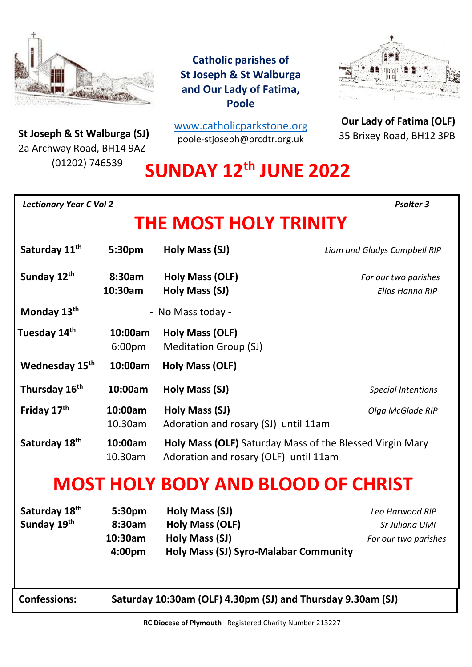

**St Joseph & St Walburga (SJ)**<br>23 Archway Road, BH14 9A7 2a Archway Road, BH14 9AZ (01202) 746539

**Catholic parishes of St Joseph & St Walburga and Our Lady of Fatima, Poole**

[www.catholicparkstone.o](http://www.catholicparkstone.org/)[rg](http://www.catholicparkstone.org/) poole-stjoseph@prcdtr.org.uk



**Our Lady of Fatima (OLF)** 35 Brixey Road, BH12 3PB

# **SUNDAY 12th JUNE 2022**

| <b>Lectionary Year C Vol 2</b>           |                                       |                                                                                                            | <b>Psalter 3</b>                                          |
|------------------------------------------|---------------------------------------|------------------------------------------------------------------------------------------------------------|-----------------------------------------------------------|
|                                          |                                       | THE MOST HOLY TRINITY                                                                                      |                                                           |
| Saturday 11 <sup>th</sup>                | 5:30pm                                | Holy Mass (SJ)                                                                                             | Liam and Gladys Campbell RIP                              |
| Sunday 12th                              | 8:30am<br>10:30am                     | Holy Mass (OLF)<br>Holy Mass (SJ)                                                                          | For our two parishes<br>Elias Hanna RIP                   |
| Monday 13 <sup>th</sup>                  | - No Mass today -                     |                                                                                                            |                                                           |
| Tuesday 14 <sup>th</sup>                 | 10:00am<br>6:00pm                     | Holy Mass (OLF)<br><b>Meditation Group (SJ)</b>                                                            |                                                           |
| Wednesday 15 <sup>th</sup>               | 10:00am                               | Holy Mass (OLF)                                                                                            |                                                           |
| Thursday 16th                            | 10:00am                               | Holy Mass (SJ)                                                                                             | <b>Special Intentions</b>                                 |
| Friday 17th                              | 10:00am<br>10.30am                    | Holy Mass (SJ)<br>Adoration and rosary (SJ) until 11am                                                     | Olga McGlade RIP                                          |
| Saturday 18th                            | 10:00am<br>10.30am                    | Holy Mass (OLF) Saturday Mass of the Blessed Virgin Mary<br>Adoration and rosary (OLF) until 11am          |                                                           |
|                                          |                                       | <b>MOST HOLY BODY AND BLOOD OF CHRIST</b>                                                                  |                                                           |
| Saturday 18 <sup>th</sup><br>Sunday 19th | 5:30pm<br>8:30am<br>10:30am<br>4:00pm | Holy Mass (SJ)<br><b>Holy Mass (OLF)</b><br>Holy Mass (SJ)<br><b>Holy Mass (SJ) Syro-Malabar Community</b> | Leo Harwood RIP<br>Sr Juliana UMI<br>For our two parishes |
| <b>Confessions:</b>                      |                                       | Saturday 10:30am (OLF) 4.30pm (SJ) and Thursday 9.30am (SJ)                                                |                                                           |
|                                          |                                       | RC Diocese of Plymouth Registered Charity Number 213227                                                    |                                                           |